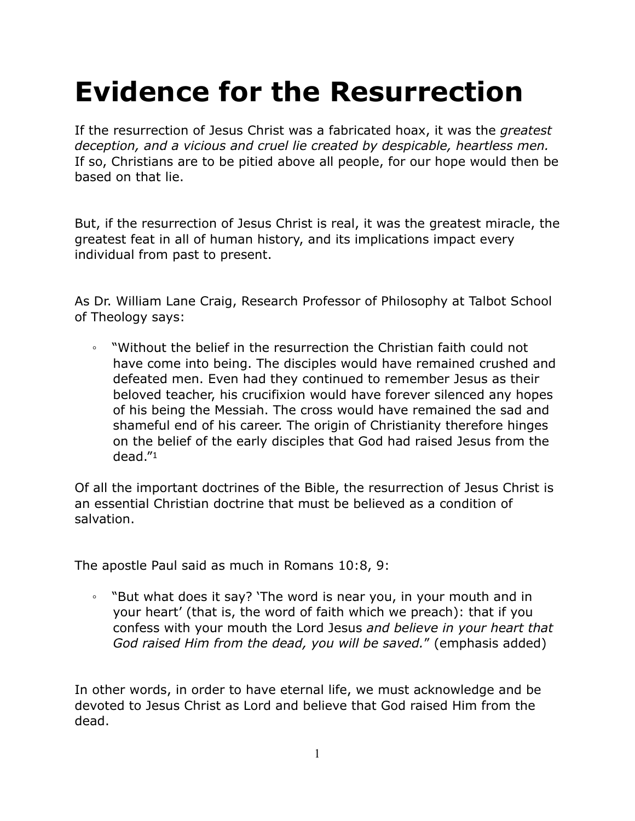# **Evidence for the Resurrection**

If the resurrection of Jesus Christ was a fabricated hoax, it was the *greatest deception, and a vicious and cruel lie created by despicable, heartless men.* If so, Christians are to be pitied above all people, for our hope would then be based on that lie.

But, if the resurrection of Jesus Christ is real, it was the greatest miracle, the greatest feat in all of human history, and its implications impact every individual from past to present.

As Dr. William Lane Craig, Research Professor of Philosophy at Talbot School of Theology says:

◦ "Without the belief in the resurrection the Christian faith could not have come into being. The disciples would have remained crushed and defeated men. Even had they continued to remember Jesus as their beloved teacher, his crucifixion would have forever silenced any hopes of his being the Messiah. The cross would have remained the sad and shameful end of his career. The origin of Christianity therefore hinges on the belief of the early disciples that God had raised Jesus from the dead."1

Of all the important doctrines of the Bible, the resurrection of Jesus Christ is an essential Christian doctrine that must be believed as a condition of salvation.

The apostle Paul said as much in Romans 10:8, 9:

◦ "But what does it say? 'The word is near you, in your mouth and in your heart' (that is, the word of faith which we preach): that if you confess with your mouth the Lord Jesus *and believe in your heart that God raised Him from the dead, you will be saved.*" (emphasis added)

In other words, in order to have eternal life, we must acknowledge and be devoted to Jesus Christ as Lord and believe that God raised Him from the dead.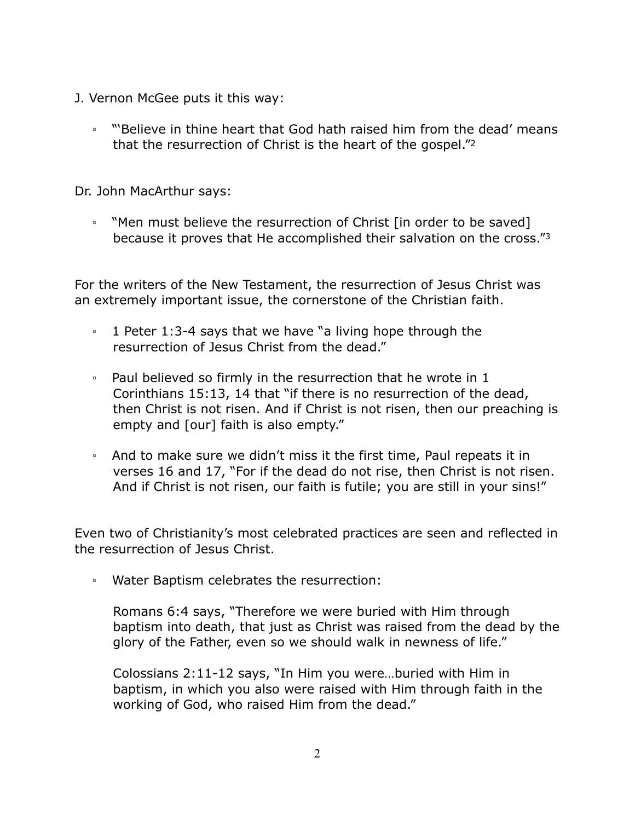- J. Vernon McGee puts it this way:
	- "'Believe in thine heart that God hath raised him from the dead' means that the resurrection of Christ is the heart of the gospel."2

Dr. John MacArthur says:

◦ "Men must believe the resurrection of Christ [in order to be saved] because it proves that He accomplished their salvation on the cross."3

For the writers of the New Testament, the resurrection of Jesus Christ was an extremely important issue, the cornerstone of the Christian faith.

- 1 Peter 1:3-4 says that we have "a living hope through the resurrection of Jesus Christ from the dead."
- Paul believed so firmly in the resurrection that he wrote in 1 Corinthians 15:13, 14 that "if there is no resurrection of the dead, then Christ is not risen. And if Christ is not risen, then our preaching is empty and [our] faith is also empty."
- And to make sure we didn't miss it the first time, Paul repeats it in verses 16 and 17, "For if the dead do not rise, then Christ is not risen. And if Christ is not risen, our faith is futile; you are still in your sins!"

Even two of Christianity's most celebrated practices are seen and reflected in the resurrection of Jesus Christ.

◦ Water Baptism celebrates the resurrection:

Romans 6:4 says, "Therefore we were buried with Him through baptism into death, that just as Christ was raised from the dead by the glory of the Father, even so we should walk in newness of life."

Colossians 2:11-12 says, "In Him you were…buried with Him in baptism, in which you also were raised with Him through faith in the working of God, who raised Him from the dead."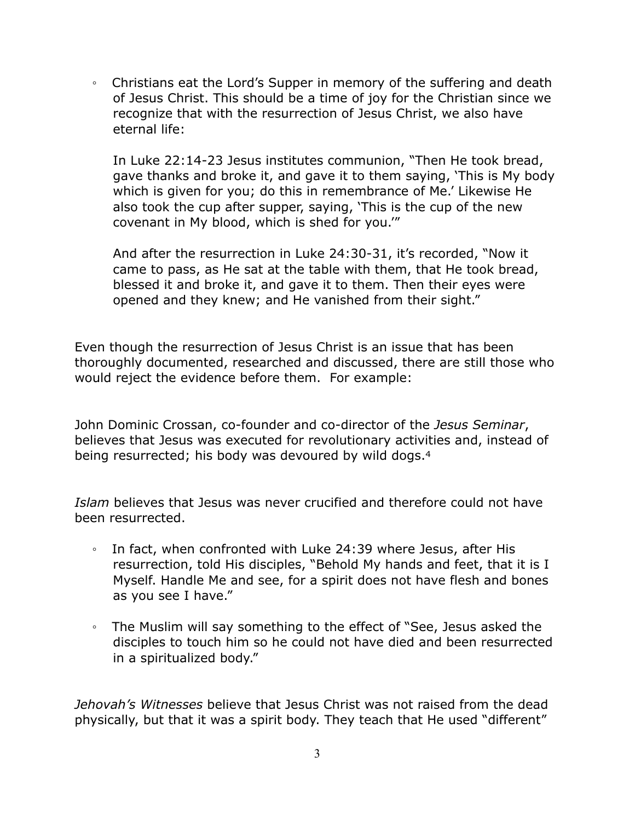◦ Christians eat the Lord's Supper in memory of the suffering and death of Jesus Christ. This should be a time of joy for the Christian since we recognize that with the resurrection of Jesus Christ, we also have eternal life:

In Luke 22:14-23 Jesus institutes communion, "Then He took bread, gave thanks and broke it, and gave it to them saying, 'This is My body which is given for you; do this in remembrance of Me.' Likewise He also took the cup after supper, saying, 'This is the cup of the new covenant in My blood, which is shed for you.'"

And after the resurrection in Luke 24:30-31, it's recorded, "Now it came to pass, as He sat at the table with them, that He took bread, blessed it and broke it, and gave it to them. Then their eyes were opened and they knew; and He vanished from their sight."

Even though the resurrection of Jesus Christ is an issue that has been thoroughly documented, researched and discussed, there are still those who would reject the evidence before them. For example:

John Dominic Crossan, co-founder and co-director of the *Jesus Seminar*, believes that Jesus was executed for revolutionary activities and, instead of being resurrected; his body was devoured by wild dogs.4

*Islam* believes that Jesus was never crucified and therefore could not have been resurrected.

- In fact, when confronted with Luke 24:39 where Jesus, after His resurrection, told His disciples, "Behold My hands and feet, that it is I Myself. Handle Me and see, for a spirit does not have flesh and bones as you see I have."
- The Muslim will say something to the effect of "See, Jesus asked the disciples to touch him so he could not have died and been resurrected in a spiritualized body."

*Jehovah's Witnesses* believe that Jesus Christ was not raised from the dead physically, but that it was a spirit body. They teach that He used "different"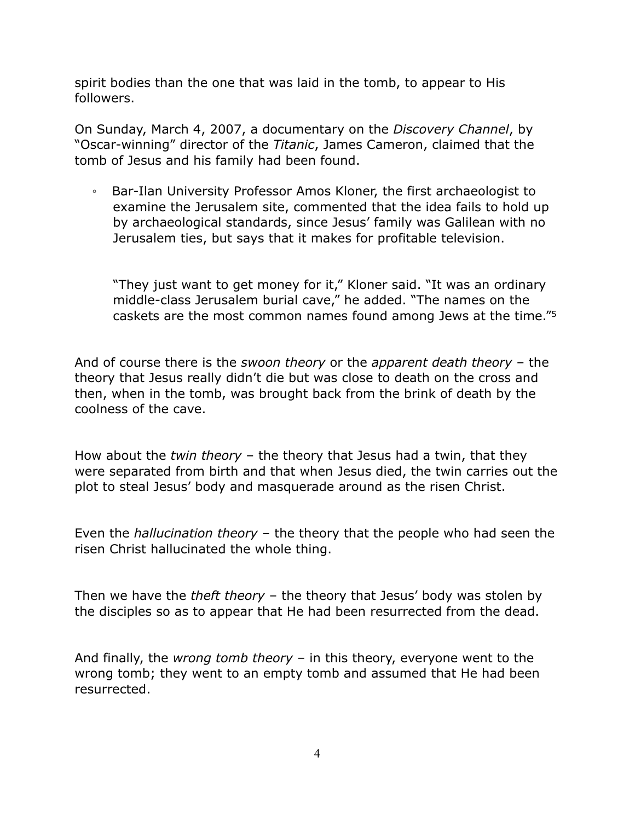spirit bodies than the one that was laid in the tomb, to appear to His followers.

On Sunday, March 4, 2007, a documentary on the *Discovery Channel*, by "Oscar-winning" director of the *Titanic*, James Cameron, claimed that the tomb of Jesus and his family had been found.

Bar-Ilan University Professor Amos Kloner, the first archaeologist to examine the Jerusalem site, commented that the idea fails to hold up by archaeological standards, since Jesus' family was Galilean with no Jerusalem ties, but says that it makes for profitable television.

"They just want to get money for it," Kloner said. "It was an ordinary middle-class Jerusalem burial cave," he added. "The names on the caskets are the most common names found among Jews at the time."5

And of course there is the *swoon theory* or the *apparent death theory* – the theory that Jesus really didn't die but was close to death on the cross and then, when in the tomb, was brought back from the brink of death by the coolness of the cave.

How about the *twin theory* – the theory that Jesus had a twin, that they were separated from birth and that when Jesus died, the twin carries out the plot to steal Jesus' body and masquerade around as the risen Christ.

Even the *hallucination theory* – the theory that the people who had seen the risen Christ hallucinated the whole thing.

Then we have the *theft theory* – the theory that Jesus' body was stolen by the disciples so as to appear that He had been resurrected from the dead.

And finally, the *wrong tomb theory* – in this theory, everyone went to the wrong tomb; they went to an empty tomb and assumed that He had been resurrected.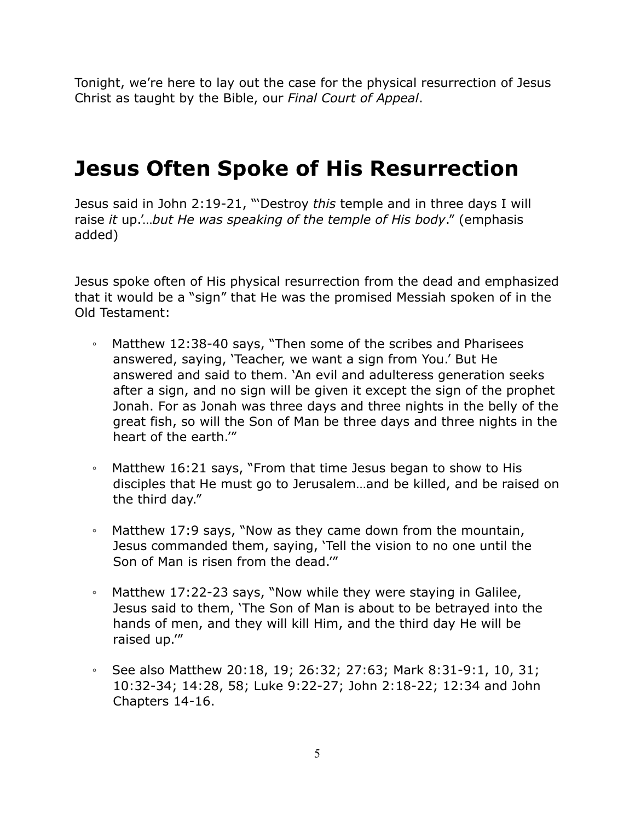Tonight, we're here to lay out the case for the physical resurrection of Jesus Christ as taught by the Bible, our *Final Court of Appeal*.

# **Jesus Often Spoke of His Resurrection**

Jesus said in John 2:19-21, "'Destroy *this* temple and in three days I will raise *it* up.'…*but He was speaking of the temple of His body*." (emphasis added)

Jesus spoke often of His physical resurrection from the dead and emphasized that it would be a "sign" that He was the promised Messiah spoken of in the Old Testament:

- Matthew 12:38-40 says, "Then some of the scribes and Pharisees answered, saying, 'Teacher, we want a sign from You.' But He answered and said to them. 'An evil and adulteress generation seeks after a sign, and no sign will be given it except the sign of the prophet Jonah. For as Jonah was three days and three nights in the belly of the great fish, so will the Son of Man be three days and three nights in the heart of the earth.'"
- Matthew 16:21 says, "From that time Jesus began to show to His disciples that He must go to Jerusalem…and be killed, and be raised on the third day."
- Matthew 17:9 says, "Now as they came down from the mountain, Jesus commanded them, saying, 'Tell the vision to no one until the Son of Man is risen from the dead.'"
- Matthew 17:22-23 says, "Now while they were staying in Galilee, Jesus said to them, 'The Son of Man is about to be betrayed into the hands of men, and they will kill Him, and the third day He will be raised up.'"
- See also Matthew 20:18, 19; 26:32; 27:63; Mark 8:31-9:1, 10, 31; 10:32-34; 14:28, 58; Luke 9:22-27; John 2:18-22; 12:34 and John Chapters 14-16.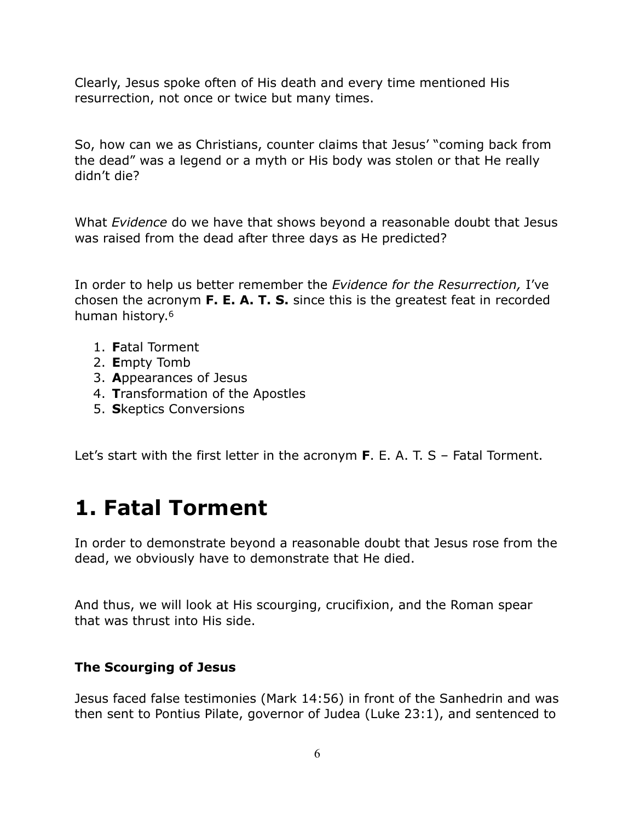Clearly, Jesus spoke often of His death and every time mentioned His resurrection, not once or twice but many times.

So, how can we as Christians, counter claims that Jesus' "coming back from the dead" was a legend or a myth or His body was stolen or that He really didn't die?

What *Evidence* do we have that shows beyond a reasonable doubt that Jesus was raised from the dead after three days as He predicted?

In order to help us better remember the *Evidence for the Resurrection,* I've chosen the acronym **F. E. A. T. S.** since this is the greatest feat in recorded human history.6

- 1. **F**atal Torment
- 2. **E**mpty Tomb
- 3. **A**ppearances of Jesus
- 4. **T**ransformation of the Apostles
- 5. **S**keptics Conversions

Let's start with the first letter in the acronym **F**. E. A. T. S – Fatal Torment.

# **1. Fatal Torment**

In order to demonstrate beyond a reasonable doubt that Jesus rose from the dead, we obviously have to demonstrate that He died.

And thus, we will look at His scourging, crucifixion, and the Roman spear that was thrust into His side.

## **The Scourging of Jesus**

Jesus faced false testimonies (Mark 14:56) in front of the Sanhedrin and was then sent to Pontius Pilate, governor of Judea (Luke 23:1), and sentenced to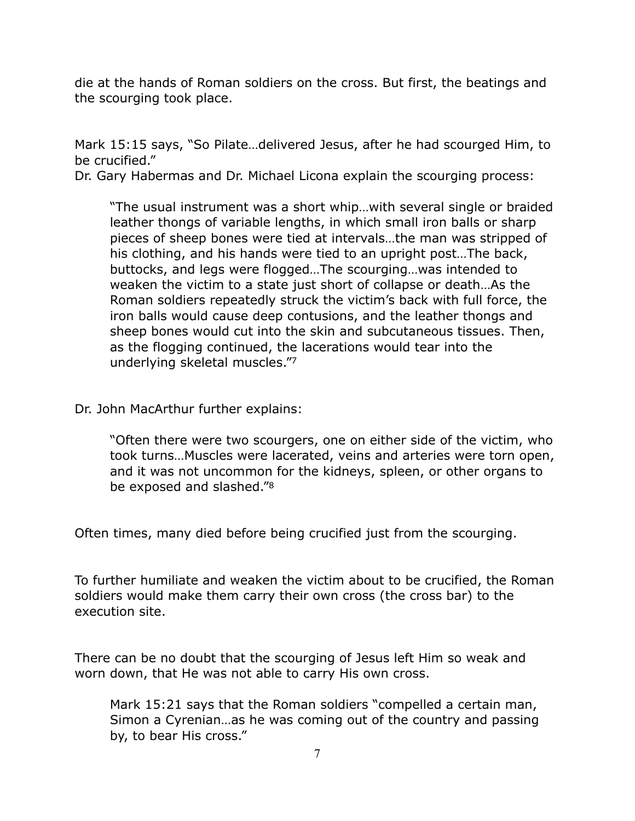die at the hands of Roman soldiers on the cross. But first, the beatings and the scourging took place.

Mark 15:15 says, "So Pilate…delivered Jesus, after he had scourged Him, to be crucified."

Dr. Gary Habermas and Dr. Michael Licona explain the scourging process:

"The usual instrument was a short whip…with several single or braided leather thongs of variable lengths, in which small iron balls or sharp pieces of sheep bones were tied at intervals…the man was stripped of his clothing, and his hands were tied to an upright post…The back, buttocks, and legs were flogged…The scourging…was intended to weaken the victim to a state just short of collapse or death…As the Roman soldiers repeatedly struck the victim's back with full force, the iron balls would cause deep contusions, and the leather thongs and sheep bones would cut into the skin and subcutaneous tissues. Then, as the flogging continued, the lacerations would tear into the underlying skeletal muscles."7

Dr. John MacArthur further explains:

"Often there were two scourgers, one on either side of the victim, who took turns…Muscles were lacerated, veins and arteries were torn open, and it was not uncommon for the kidneys, spleen, or other organs to be exposed and slashed."8

Often times, many died before being crucified just from the scourging.

To further humiliate and weaken the victim about to be crucified, the Roman soldiers would make them carry their own cross (the cross bar) to the execution site.

There can be no doubt that the scourging of Jesus left Him so weak and worn down, that He was not able to carry His own cross.

Mark 15:21 says that the Roman soldiers "compelled a certain man, Simon a Cyrenian…as he was coming out of the country and passing by, to bear His cross."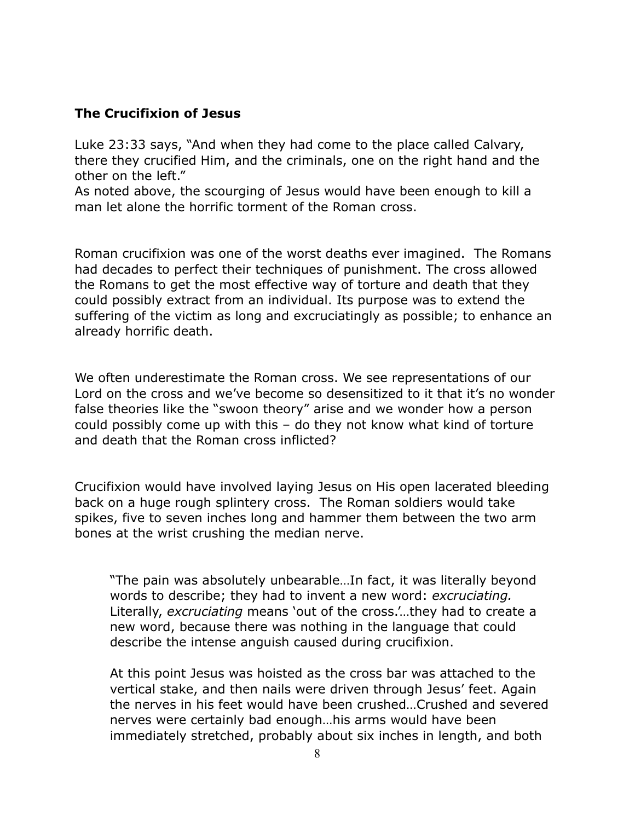#### **The Crucifixion of Jesus**

Luke 23:33 says, "And when they had come to the place called Calvary, there they crucified Him, and the criminals, one on the right hand and the other on the left."

As noted above, the scourging of Jesus would have been enough to kill a man let alone the horrific torment of the Roman cross.

Roman crucifixion was one of the worst deaths ever imagined. The Romans had decades to perfect their techniques of punishment. The cross allowed the Romans to get the most effective way of torture and death that they could possibly extract from an individual. Its purpose was to extend the suffering of the victim as long and excruciatingly as possible; to enhance an already horrific death.

We often underestimate the Roman cross. We see representations of our Lord on the cross and we've become so desensitized to it that it's no wonder false theories like the "swoon theory" arise and we wonder how a person could possibly come up with this – do they not know what kind of torture and death that the Roman cross inflicted?

Crucifixion would have involved laying Jesus on His open lacerated bleeding back on a huge rough splintery cross. The Roman soldiers would take spikes, five to seven inches long and hammer them between the two arm bones at the wrist crushing the median nerve.

"The pain was absolutely unbearable…In fact, it was literally beyond words to describe; they had to invent a new word: *excruciating.* Literally, *excruciating* means 'out of the cross.'…they had to create a new word, because there was nothing in the language that could describe the intense anguish caused during crucifixion.

At this point Jesus was hoisted as the cross bar was attached to the vertical stake, and then nails were driven through Jesus' feet. Again the nerves in his feet would have been crushed…Crushed and severed nerves were certainly bad enough…his arms would have been immediately stretched, probably about six inches in length, and both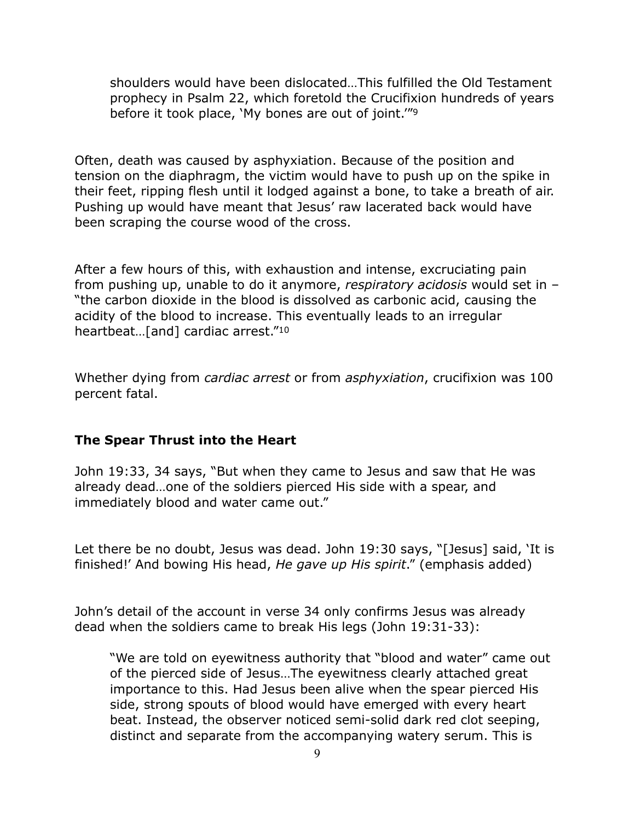shoulders would have been dislocated…This fulfilled the Old Testament prophecy in Psalm 22, which foretold the Crucifixion hundreds of years before it took place, 'My bones are out of joint.'"9

Often, death was caused by asphyxiation. Because of the position and tension on the diaphragm, the victim would have to push up on the spike in their feet, ripping flesh until it lodged against a bone, to take a breath of air. Pushing up would have meant that Jesus' raw lacerated back would have been scraping the course wood of the cross.

After a few hours of this, with exhaustion and intense, excruciating pain from pushing up, unable to do it anymore, *respiratory acidosis* would set in – "the carbon dioxide in the blood is dissolved as carbonic acid, causing the acidity of the blood to increase. This eventually leads to an irregular heartbeat…[and] cardiac arrest."10

Whether dying from *cardiac arrest* or from *asphyxiation*, crucifixion was 100 percent fatal.

## **The Spear Thrust into the Heart**

John 19:33, 34 says, "But when they came to Jesus and saw that He was already dead…one of the soldiers pierced His side with a spear, and immediately blood and water came out."

Let there be no doubt, Jesus was dead. John 19:30 says, "[Jesus] said, 'It is finished!' And bowing His head, *He gave up His spirit*." (emphasis added)

John's detail of the account in verse 34 only confirms Jesus was already dead when the soldiers came to break His legs (John 19:31-33):

"We are told on eyewitness authority that "blood and water" came out of the pierced side of Jesus…The eyewitness clearly attached great importance to this. Had Jesus been alive when the spear pierced His side, strong spouts of blood would have emerged with every heart beat. Instead, the observer noticed semi-solid dark red clot seeping, distinct and separate from the accompanying watery serum. This is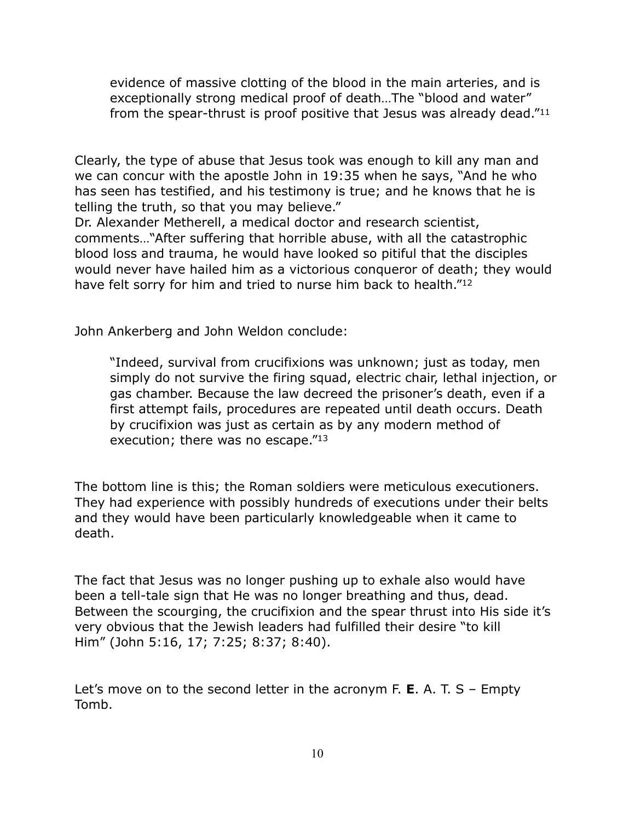evidence of massive clotting of the blood in the main arteries, and is exceptionally strong medical proof of death…The "blood and water" from the spear-thrust is proof positive that Jesus was already dead."11

Clearly, the type of abuse that Jesus took was enough to kill any man and we can concur with the apostle John in 19:35 when he says, "And he who has seen has testified, and his testimony is true; and he knows that he is telling the truth, so that you may believe."

Dr. Alexander Metherell, a medical doctor and research scientist, comments…"After suffering that horrible abuse, with all the catastrophic blood loss and trauma, he would have looked so pitiful that the disciples would never have hailed him as a victorious conqueror of death; they would have felt sorry for him and tried to nurse him back to health."<sup>12</sup>

John Ankerberg and John Weldon conclude:

"Indeed, survival from crucifixions was unknown; just as today, men simply do not survive the firing squad, electric chair, lethal injection, or gas chamber. Because the law decreed the prisoner's death, even if a first attempt fails, procedures are repeated until death occurs. Death by crucifixion was just as certain as by any modern method of execution; there was no escape."13

The bottom line is this; the Roman soldiers were meticulous executioners. They had experience with possibly hundreds of executions under their belts and they would have been particularly knowledgeable when it came to death.

The fact that Jesus was no longer pushing up to exhale also would have been a tell-tale sign that He was no longer breathing and thus, dead. Between the scourging, the crucifixion and the spear thrust into His side it's very obvious that the Jewish leaders had fulfilled their desire "to kill Him" (John 5:16, 17; 7:25; 8:37; 8:40).

Let's move on to the second letter in the acronym F. **E**. A. T. S – Empty Tomb.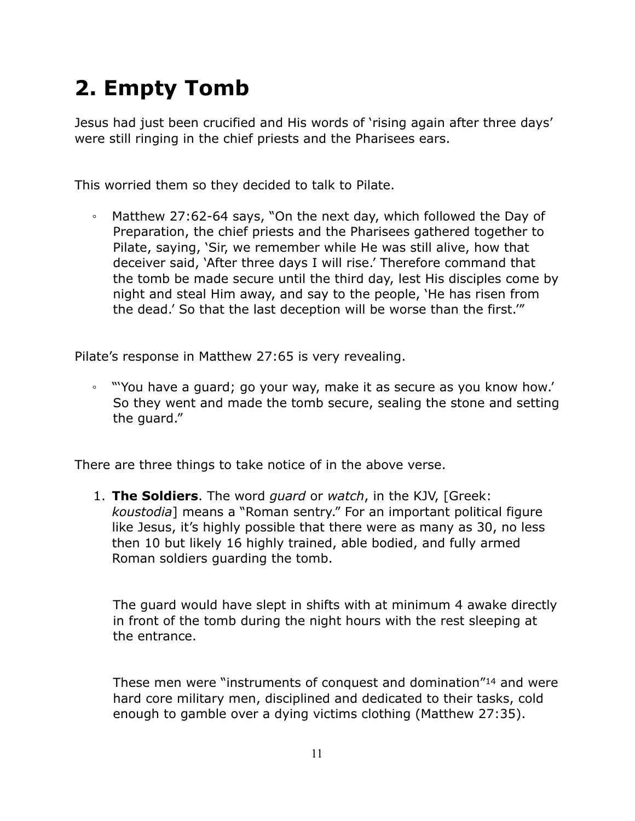# **2. Empty Tomb**

Jesus had just been crucified and His words of 'rising again after three days' were still ringing in the chief priests and the Pharisees ears.

This worried them so they decided to talk to Pilate.

◦ Matthew 27:62-64 says, "On the next day, which followed the Day of Preparation, the chief priests and the Pharisees gathered together to Pilate, saying, 'Sir, we remember while He was still alive, how that deceiver said, 'After three days I will rise.' Therefore command that the tomb be made secure until the third day, lest His disciples come by night and steal Him away, and say to the people, 'He has risen from the dead.' So that the last deception will be worse than the first.'"

Pilate's response in Matthew 27:65 is very revealing.

◦ "'You have a guard; go your way, make it as secure as you know how.' So they went and made the tomb secure, sealing the stone and setting the guard."

There are three things to take notice of in the above verse.

1. **The Soldiers**. The word *guard* or *watch*, in the KJV, [Greek: *koustodia*] means a "Roman sentry." For an important political figure like Jesus, it's highly possible that there were as many as 30, no less then 10 but likely 16 highly trained, able bodied, and fully armed Roman soldiers guarding the tomb.

The guard would have slept in shifts with at minimum 4 awake directly in front of the tomb during the night hours with the rest sleeping at the entrance.

These men were "instruments of conquest and domination"14 and were hard core military men, disciplined and dedicated to their tasks, cold enough to gamble over a dying victims clothing (Matthew 27:35).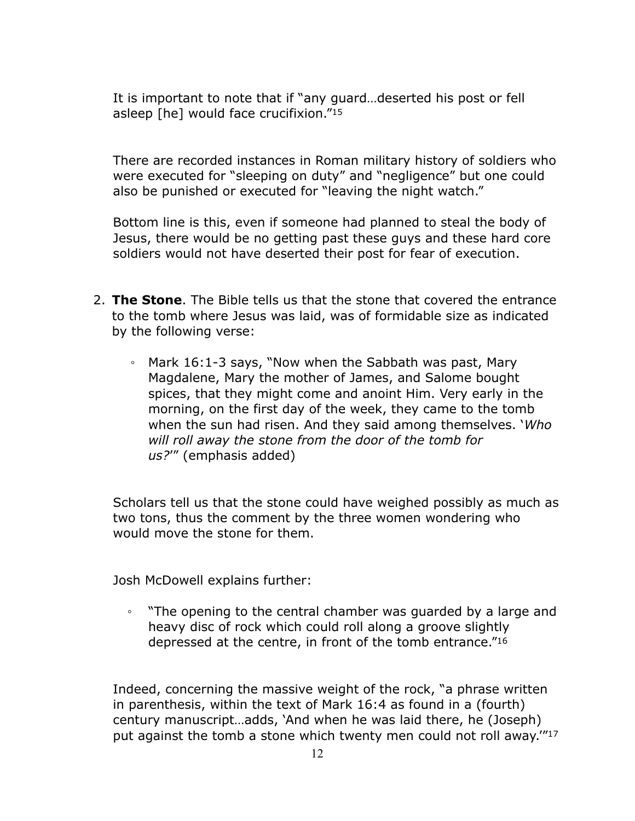It is important to note that if "any guard…deserted his post or fell asleep [he] would face crucifixion."15

There are recorded instances in Roman military history of soldiers who were executed for "sleeping on duty" and "negligence" but one could also be punished or executed for "leaving the night watch."

Bottom line is this, even if someone had planned to steal the body of Jesus, there would be no getting past these guys and these hard core soldiers would not have deserted their post for fear of execution.

- 2. **The Stone**. The Bible tells us that the stone that covered the entrance to the tomb where Jesus was laid, was of formidable size as indicated by the following verse:
	- Mark 16:1-3 says, "Now when the Sabbath was past, Mary Magdalene, Mary the mother of James, and Salome bought spices, that they might come and anoint Him. Very early in the morning, on the first day of the week, they came to the tomb when the sun had risen. And they said among themselves. '*Who will roll away the stone from the door of the tomb for us?*'" (emphasis added)

Scholars tell us that the stone could have weighed possibly as much as two tons, thus the comment by the three women wondering who would move the stone for them.

Josh McDowell explains further:

◦ "The opening to the central chamber was guarded by a large and heavy disc of rock which could roll along a groove slightly depressed at the centre, in front of the tomb entrance."16

Indeed, concerning the massive weight of the rock, "a phrase written in parenthesis, within the text of Mark 16:4 as found in a (fourth) century manuscript…adds, 'And when he was laid there, he (Joseph) put against the tomb a stone which twenty men could not roll away.'"17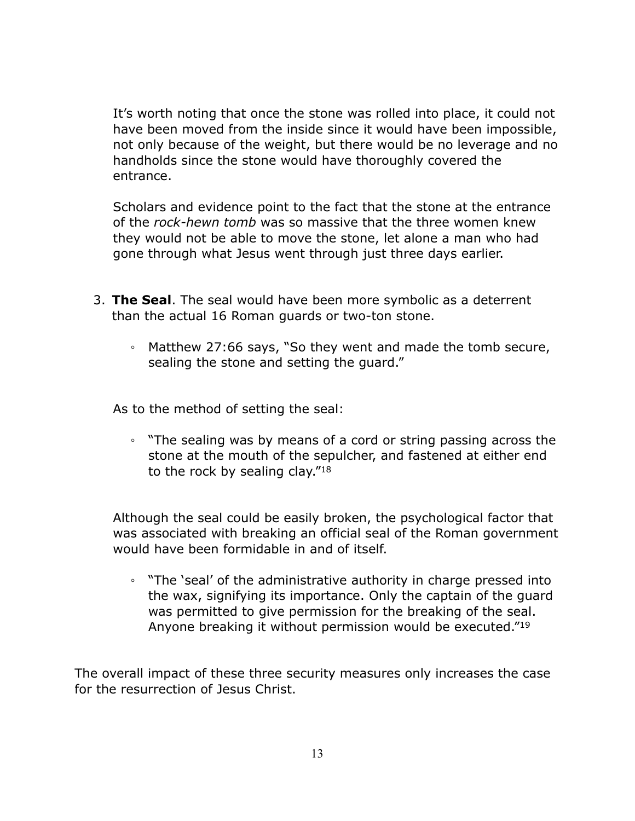It's worth noting that once the stone was rolled into place, it could not have been moved from the inside since it would have been impossible, not only because of the weight, but there would be no leverage and no handholds since the stone would have thoroughly covered the entrance.

Scholars and evidence point to the fact that the stone at the entrance of the *rock-hewn tomb* was so massive that the three women knew they would not be able to move the stone, let alone a man who had gone through what Jesus went through just three days earlier.

- 3. **The Seal**. The seal would have been more symbolic as a deterrent than the actual 16 Roman guards or two-ton stone.
	- Matthew 27:66 says, "So they went and made the tomb secure, sealing the stone and setting the guard."

As to the method of setting the seal:

◦ "The sealing was by means of a cord or string passing across the stone at the mouth of the sepulcher, and fastened at either end to the rock by sealing clay."18

Although the seal could be easily broken, the psychological factor that was associated with breaking an official seal of the Roman government would have been formidable in and of itself.

◦ "The 'seal' of the administrative authority in charge pressed into the wax, signifying its importance. Only the captain of the guard was permitted to give permission for the breaking of the seal. Anyone breaking it without permission would be executed."19

The overall impact of these three security measures only increases the case for the resurrection of Jesus Christ.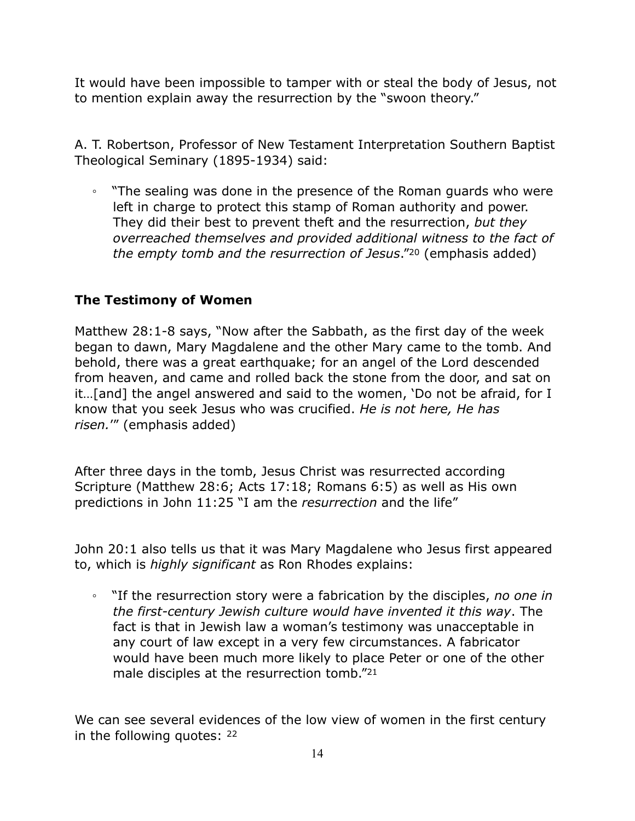It would have been impossible to tamper with or steal the body of Jesus, not to mention explain away the resurrection by the "swoon theory."

A. T. Robertson, Professor of New Testament Interpretation Southern Baptist Theological Seminary (1895-1934) said:

◦ "The sealing was done in the presence of the Roman guards who were left in charge to protect this stamp of Roman authority and power. They did their best to prevent theft and the resurrection, *but they overreached themselves and provided additional witness to the fact of the empty tomb and the resurrection of Jesus*."20 (emphasis added)

## **The Testimony of Women**

Matthew 28:1-8 says, "Now after the Sabbath, as the first day of the week began to dawn, Mary Magdalene and the other Mary came to the tomb. And behold, there was a great earthquake; for an angel of the Lord descended from heaven, and came and rolled back the stone from the door, and sat on it…[and] the angel answered and said to the women, 'Do not be afraid, for I know that you seek Jesus who was crucified. *He is not here, He has risen.*'" (emphasis added)

After three days in the tomb, Jesus Christ was resurrected according Scripture (Matthew 28:6; Acts 17:18; Romans 6:5) as well as His own predictions in John 11:25 "I am the *resurrection* and the life"

John 20:1 also tells us that it was Mary Magdalene who Jesus first appeared to, which is *highly significant* as Ron Rhodes explains:

◦ "If the resurrection story were a fabrication by the disciples, *no one in the first-century Jewish culture would have invented it this way*. The fact is that in Jewish law a woman's testimony was unacceptable in any court of law except in a very few circumstances. A fabricator would have been much more likely to place Peter or one of the other male disciples at the resurrection tomb."<sup>21</sup>

We can see several evidences of the low view of women in the first century in the following quotes: 22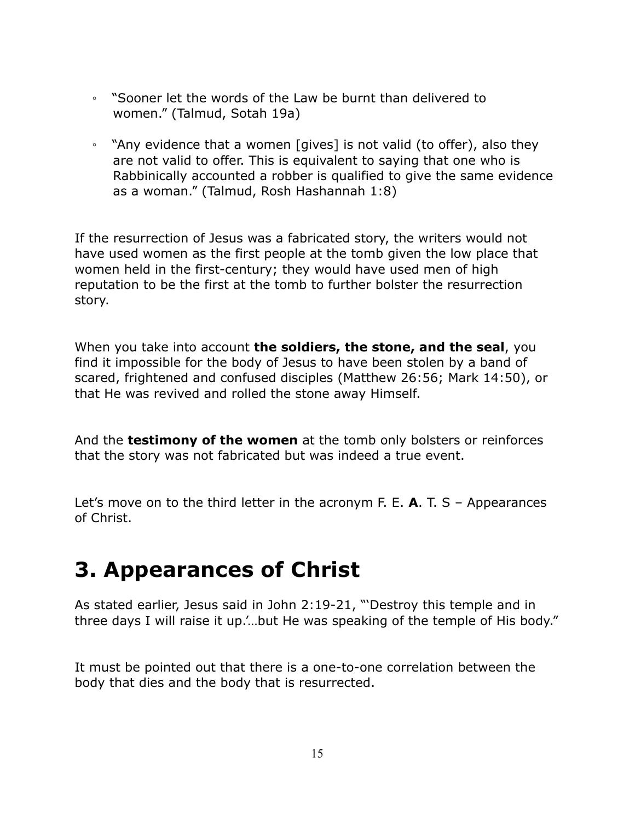- "Sooner let the words of the Law be burnt than delivered to women." (Talmud, Sotah 19a)
- "Any evidence that a women [gives] is not valid (to offer), also they are not valid to offer. This is equivalent to saying that one who is Rabbinically accounted a robber is qualified to give the same evidence as a woman." (Talmud, Rosh Hashannah 1:8)

If the resurrection of Jesus was a fabricated story, the writers would not have used women as the first people at the tomb given the low place that women held in the first-century; they would have used men of high reputation to be the first at the tomb to further bolster the resurrection story.

When you take into account **the soldiers, the stone, and the seal**, you find it impossible for the body of Jesus to have been stolen by a band of scared, frightened and confused disciples (Matthew 26:56; Mark 14:50), or that He was revived and rolled the stone away Himself.

And the **testimony of the women** at the tomb only bolsters or reinforces that the story was not fabricated but was indeed a true event.

Let's move on to the third letter in the acronym F. E. **A**. T. S – Appearances of Christ.

# **3. Appearances of Christ**

As stated earlier, Jesus said in John 2:19-21, "'Destroy this temple and in three days I will raise it up.'…but He was speaking of the temple of His body."

It must be pointed out that there is a one-to-one correlation between the body that dies and the body that is resurrected.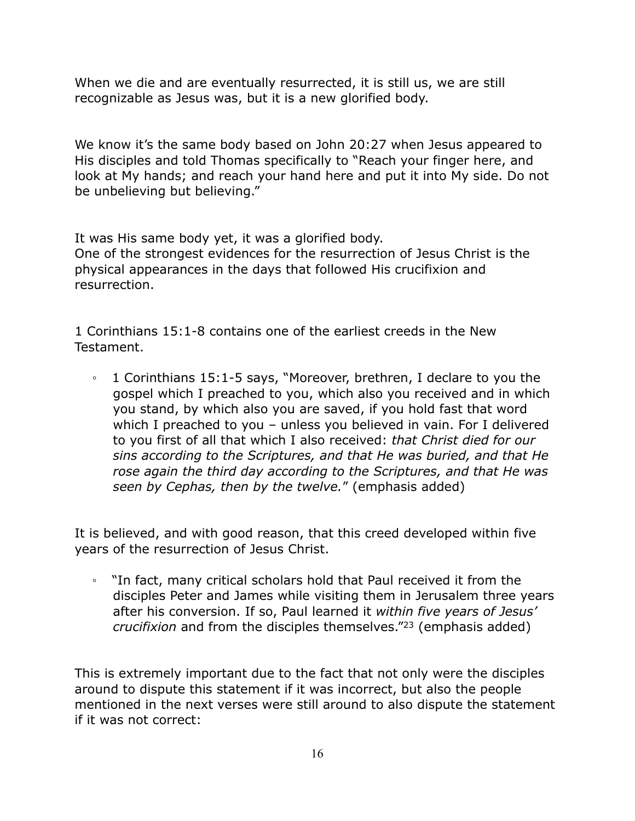When we die and are eventually resurrected, it is still us, we are still recognizable as Jesus was, but it is a new glorified body.

We know it's the same body based on John 20:27 when Jesus appeared to His disciples and told Thomas specifically to "Reach your finger here, and look at My hands; and reach your hand here and put it into My side. Do not be unbelieving but believing."

It was His same body yet, it was a glorified body. One of the strongest evidences for the resurrection of Jesus Christ is the physical appearances in the days that followed His crucifixion and resurrection.

1 Corinthians 15:1-8 contains one of the earliest creeds in the New Testament.

◦ 1 Corinthians 15:1-5 says, "Moreover, brethren, I declare to you the gospel which I preached to you, which also you received and in which you stand, by which also you are saved, if you hold fast that word which I preached to you – unless you believed in vain. For I delivered to you first of all that which I also received: *that Christ died for our sins according to the Scriptures, and that He was buried, and that He rose again the third day according to the Scriptures, and that He was seen by Cephas, then by the twelve.*" (emphasis added)

It is believed, and with good reason, that this creed developed within five years of the resurrection of Jesus Christ.

◦ "In fact, many critical scholars hold that Paul received it from the disciples Peter and James while visiting them in Jerusalem three years after his conversion. If so, Paul learned it *within five years of Jesus' crucifixion* and from the disciples themselves."23 (emphasis added)

This is extremely important due to the fact that not only were the disciples around to dispute this statement if it was incorrect, but also the people mentioned in the next verses were still around to also dispute the statement if it was not correct: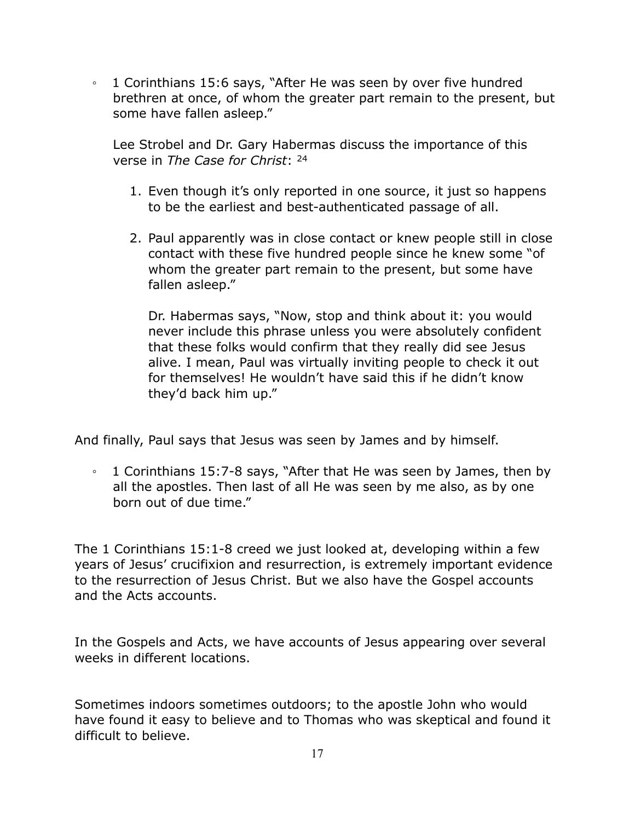◦ 1 Corinthians 15:6 says, "After He was seen by over five hundred brethren at once, of whom the greater part remain to the present, but some have fallen asleep."

Lee Strobel and Dr. Gary Habermas discuss the importance of this verse in *The Case for Christ*: 24

- 1. Even though it's only reported in one source, it just so happens to be the earliest and best-authenticated passage of all.
- 2. Paul apparently was in close contact or knew people still in close contact with these five hundred people since he knew some "of whom the greater part remain to the present, but some have fallen asleep."

Dr. Habermas says, "Now, stop and think about it: you would never include this phrase unless you were absolutely confident that these folks would confirm that they really did see Jesus alive. I mean, Paul was virtually inviting people to check it out for themselves! He wouldn't have said this if he didn't know they'd back him up."

And finally, Paul says that Jesus was seen by James and by himself.

◦ 1 Corinthians 15:7-8 says, "After that He was seen by James, then by all the apostles. Then last of all He was seen by me also, as by one born out of due time."

The 1 Corinthians 15:1-8 creed we just looked at, developing within a few years of Jesus' crucifixion and resurrection, is extremely important evidence to the resurrection of Jesus Christ. But we also have the Gospel accounts and the Acts accounts.

In the Gospels and Acts, we have accounts of Jesus appearing over several weeks in different locations.

Sometimes indoors sometimes outdoors; to the apostle John who would have found it easy to believe and to Thomas who was skeptical and found it difficult to believe.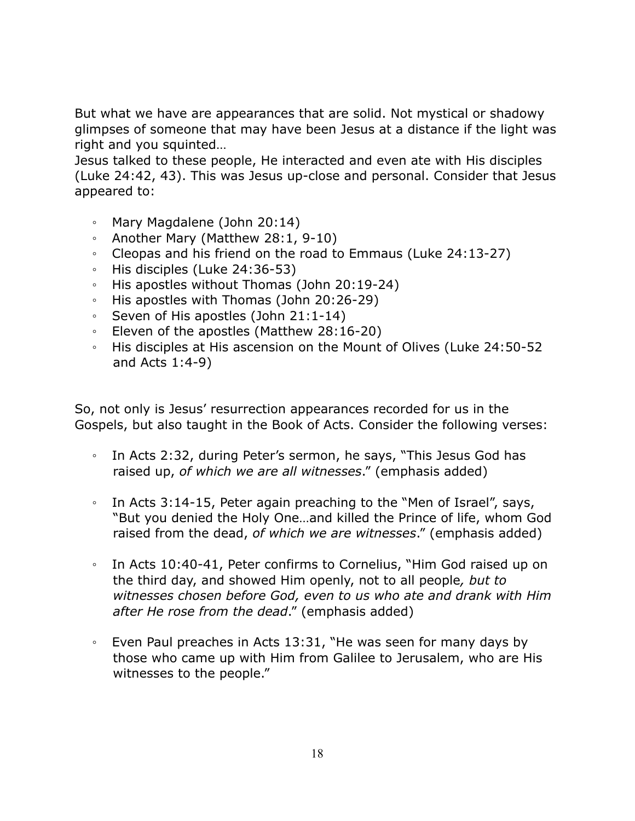But what we have are appearances that are solid. Not mystical or shadowy glimpses of someone that may have been Jesus at a distance if the light was right and you squinted…

Jesus talked to these people, He interacted and even ate with His disciples (Luke 24:42, 43). This was Jesus up-close and personal. Consider that Jesus appeared to:

- Mary Magdalene (John 20:14)
- Another Mary (Matthew 28:1, 9-10)
- Cleopas and his friend on the road to Emmaus (Luke 24:13-27)
- His disciples (Luke 24:36-53)
- His apostles without Thomas (John 20:19-24)
- His apostles with Thomas (John 20:26-29)
- Seven of His apostles (John 21:1-14)
- Eleven of the apostles (Matthew 28:16-20)
- His disciples at His ascension on the Mount of Olives (Luke 24:50-52 and Acts 1:4-9)

So, not only is Jesus' resurrection appearances recorded for us in the Gospels, but also taught in the Book of Acts. Consider the following verses:

- In Acts 2:32, during Peter's sermon, he says, "This Jesus God has raised up, *of which we are all witnesses*." (emphasis added)
- In Acts 3:14-15, Peter again preaching to the "Men of Israel", says, "But you denied the Holy One…and killed the Prince of life, whom God raised from the dead, *of which we are witnesses*." (emphasis added)
- In Acts 10:40-41, Peter confirms to Cornelius, "Him God raised up on the third day, and showed Him openly, not to all people*, but to witnesses chosen before God, even to us who ate and drank with Him after He rose from the dead*." (emphasis added)
- Even Paul preaches in Acts 13:31, "He was seen for many days by those who came up with Him from Galilee to Jerusalem, who are His witnesses to the people."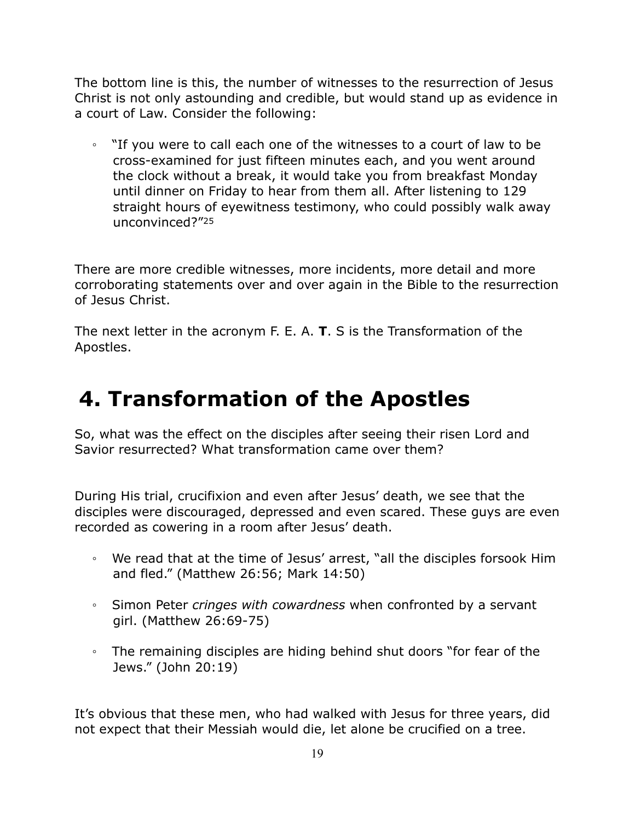The bottom line is this, the number of witnesses to the resurrection of Jesus Christ is not only astounding and credible, but would stand up as evidence in a court of Law. Consider the following:

◦ "If you were to call each one of the witnesses to a court of law to be cross-examined for just fifteen minutes each, and you went around the clock without a break, it would take you from breakfast Monday until dinner on Friday to hear from them all. After listening to 129 straight hours of eyewitness testimony, who could possibly walk away unconvinced?"25

There are more credible witnesses, more incidents, more detail and more corroborating statements over and over again in the Bible to the resurrection of Jesus Christ.

The next letter in the acronym F. E. A. **T**. S is the Transformation of the Apostles.

# **4. Transformation of the Apostles**

So, what was the effect on the disciples after seeing their risen Lord and Savior resurrected? What transformation came over them?

During His trial, crucifixion and even after Jesus' death, we see that the disciples were discouraged, depressed and even scared. These guys are even recorded as cowering in a room after Jesus' death.

- We read that at the time of Jesus' arrest, "all the disciples forsook Him and fled." (Matthew 26:56; Mark 14:50)
- Simon Peter *cringes with cowardness* when confronted by a servant girl. (Matthew 26:69-75)
- The remaining disciples are hiding behind shut doors "for fear of the Jews." (John 20:19)

It's obvious that these men, who had walked with Jesus for three years, did not expect that their Messiah would die, let alone be crucified on a tree.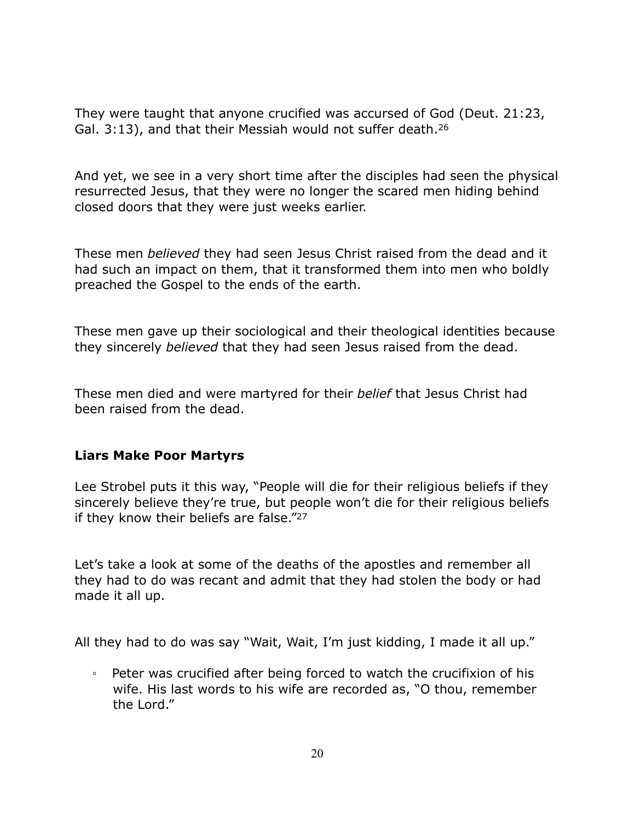They were taught that anyone crucified was accursed of God (Deut. 21:23, Gal. 3:13), and that their Messiah would not suffer death.26

And yet, we see in a very short time after the disciples had seen the physical resurrected Jesus, that they were no longer the scared men hiding behind closed doors that they were just weeks earlier.

These men *believed* they had seen Jesus Christ raised from the dead and it had such an impact on them, that it transformed them into men who boldly preached the Gospel to the ends of the earth.

These men gave up their sociological and their theological identities because they sincerely *believed* that they had seen Jesus raised from the dead.

These men died and were martyred for their *belief* that Jesus Christ had been raised from the dead.

#### **Liars Make Poor Martyrs**

Lee Strobel puts it this way, "People will die for their religious beliefs if they sincerely believe they're true, but people won't die for their religious beliefs if they know their beliefs are false."27

Let's take a look at some of the deaths of the apostles and remember all they had to do was recant and admit that they had stolen the body or had made it all up.

All they had to do was say "Wait, Wait, I'm just kidding, I made it all up."

◦ Peter was crucified after being forced to watch the crucifixion of his wife. His last words to his wife are recorded as, "O thou, remember the Lord."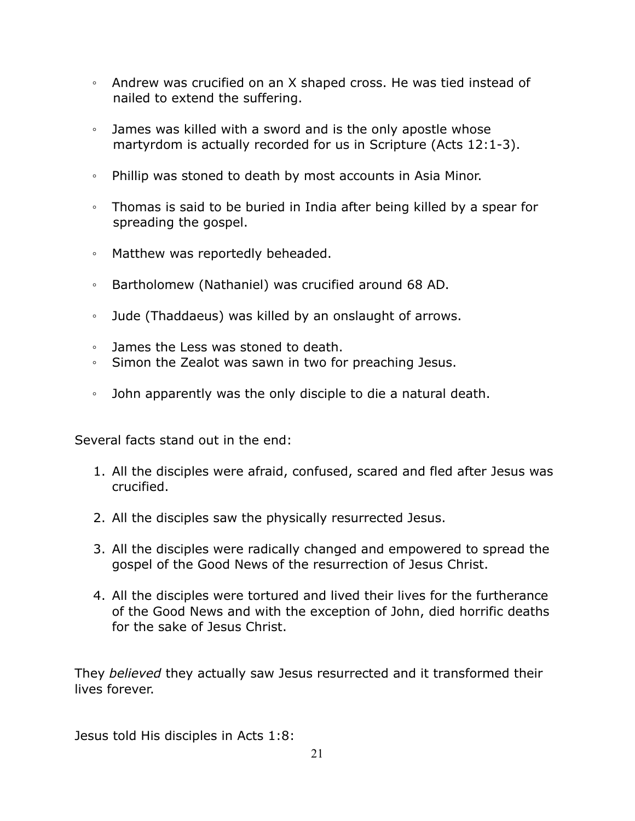- Andrew was crucified on an X shaped cross. He was tied instead of nailed to extend the suffering.
- James was killed with a sword and is the only apostle whose martyrdom is actually recorded for us in Scripture (Acts 12:1-3).
- Phillip was stoned to death by most accounts in Asia Minor.
- Thomas is said to be buried in India after being killed by a spear for spreading the gospel.
- Matthew was reportedly beheaded.
- Bartholomew (Nathaniel) was crucified around 68 AD.
- Jude (Thaddaeus) was killed by an onslaught of arrows.
- James the Less was stoned to death.
- Simon the Zealot was sawn in two for preaching Jesus.
- John apparently was the only disciple to die a natural death.

Several facts stand out in the end:

- 1. All the disciples were afraid, confused, scared and fled after Jesus was crucified.
- 2. All the disciples saw the physically resurrected Jesus.
- 3. All the disciples were radically changed and empowered to spread the gospel of the Good News of the resurrection of Jesus Christ.
- 4. All the disciples were tortured and lived their lives for the furtherance of the Good News and with the exception of John, died horrific deaths for the sake of Jesus Christ.

They *believed* they actually saw Jesus resurrected and it transformed their lives forever.

Jesus told His disciples in Acts 1:8: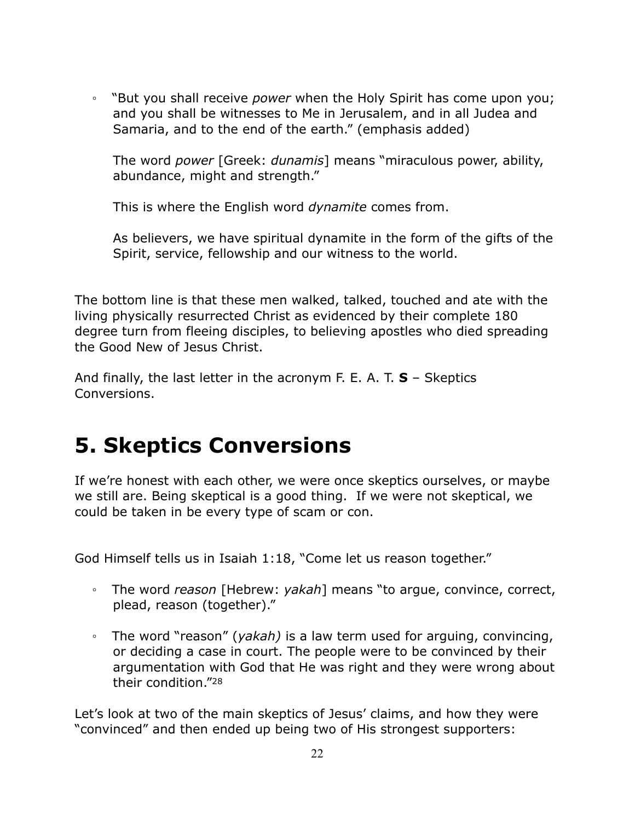◦ "But you shall receive *power* when the Holy Spirit has come upon you; and you shall be witnesses to Me in Jerusalem, and in all Judea and Samaria, and to the end of the earth." (emphasis added)

The word *power* [Greek: *dunamis*] means "miraculous power, ability, abundance, might and strength."

This is where the English word *dynamite* comes from.

As believers, we have spiritual dynamite in the form of the gifts of the Spirit, service, fellowship and our witness to the world.

The bottom line is that these men walked, talked, touched and ate with the living physically resurrected Christ as evidenced by their complete 180 degree turn from fleeing disciples, to believing apostles who died spreading the Good New of Jesus Christ.

And finally, the last letter in the acronym F. E. A. T. **S** – Skeptics Conversions.

# **5. Skeptics Conversions**

If we're honest with each other, we were once skeptics ourselves, or maybe we still are. Being skeptical is a good thing. If we were not skeptical, we could be taken in be every type of scam or con.

God Himself tells us in Isaiah 1:18, "Come let us reason together."

- The word *reason* [Hebrew: *yakah*] means "to argue, convince, correct, plead, reason (together)."
- The word "reason" (*yakah)* is a law term used for arguing, convincing, or deciding a case in court. The people were to be convinced by their argumentation with God that He was right and they were wrong about their condition."28

Let's look at two of the main skeptics of Jesus' claims, and how they were "convinced" and then ended up being two of His strongest supporters: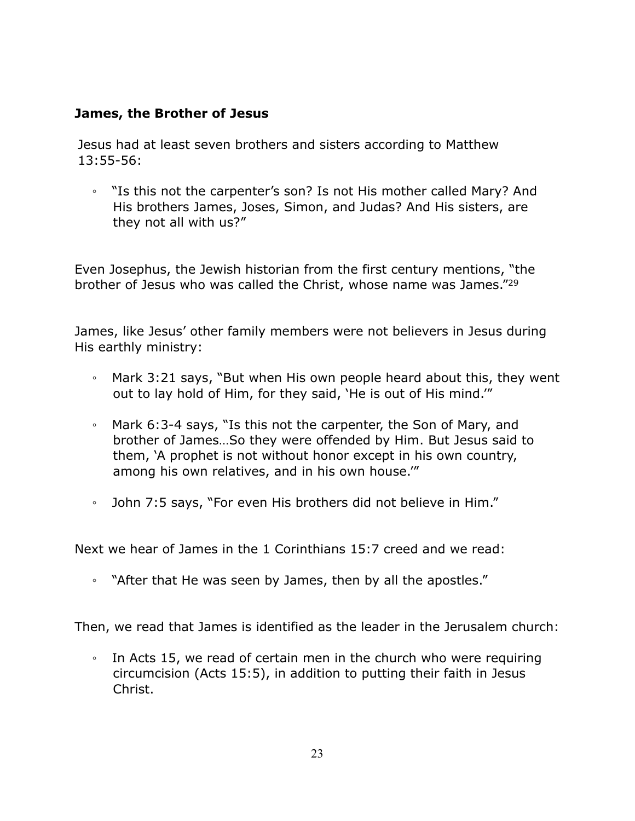### **James, the Brother of Jesus**

Jesus had at least seven brothers and sisters according to Matthew 13:55-56:

◦ "Is this not the carpenter's son? Is not His mother called Mary? And His brothers James, Joses, Simon, and Judas? And His sisters, are they not all with us?"

Even Josephus, the Jewish historian from the first century mentions, "the brother of Jesus who was called the Christ, whose name was James."29

James, like Jesus' other family members were not believers in Jesus during His earthly ministry:

- Mark 3:21 says, "But when His own people heard about this, they went out to lay hold of Him, for they said, 'He is out of His mind.'"
- Mark 6:3-4 says, "Is this not the carpenter, the Son of Mary, and brother of James…So they were offended by Him. But Jesus said to them, 'A prophet is not without honor except in his own country, among his own relatives, and in his own house.'"
- John 7:5 says, "For even His brothers did not believe in Him."

Next we hear of James in the 1 Corinthians 15:7 creed and we read:

◦ "After that He was seen by James, then by all the apostles."

Then, we read that James is identified as the leader in the Jerusalem church:

◦ In Acts 15, we read of certain men in the church who were requiring circumcision (Acts 15:5), in addition to putting their faith in Jesus Christ.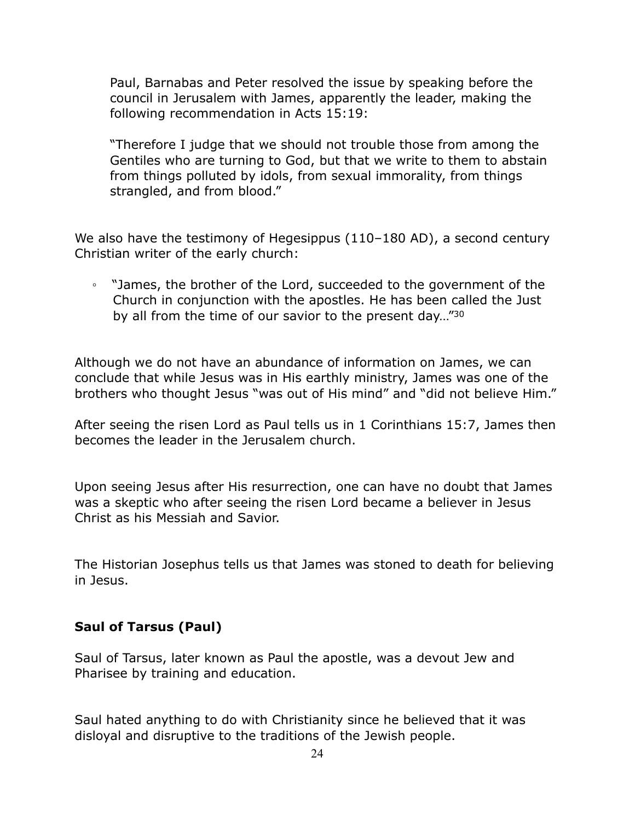Paul, Barnabas and Peter resolved the issue by speaking before the council in Jerusalem with James, apparently the leader, making the following recommendation in Acts 15:19:

"Therefore I judge that we should not trouble those from among the Gentiles who are turning to God, but that we write to them to abstain from things polluted by idols, from sexual immorality, from things strangled, and from blood."

We also have the testimony of Hegesippus (110–180 AD), a second century Christian writer of the early church:

◦ "James, the brother of the Lord, succeeded to the government of the Church in conjunction with the apostles. He has been called the Just by all from the time of our savior to the present day…"30

Although we do not have an abundance of information on James, we can conclude that while Jesus was in His earthly ministry, James was one of the brothers who thought Jesus "was out of His mind" and "did not believe Him."

After seeing the risen Lord as Paul tells us in 1 Corinthians 15:7, James then becomes the leader in the Jerusalem church.

Upon seeing Jesus after His resurrection, one can have no doubt that James was a skeptic who after seeing the risen Lord became a believer in Jesus Christ as his Messiah and Savior.

The Historian Josephus tells us that James was stoned to death for believing in Jesus.

## **Saul of Tarsus (Paul)**

Saul of Tarsus, later known as Paul the apostle, was a devout Jew and Pharisee by training and education.

Saul hated anything to do with Christianity since he believed that it was disloyal and disruptive to the traditions of the Jewish people.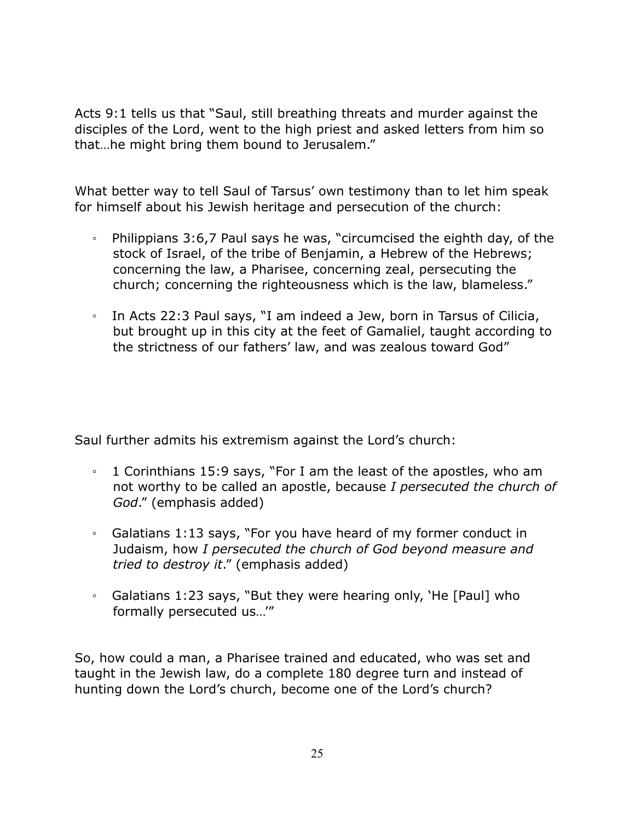Acts 9:1 tells us that "Saul, still breathing threats and murder against the disciples of the Lord, went to the high priest and asked letters from him so that…he might bring them bound to Jerusalem."

What better way to tell Saul of Tarsus' own testimony than to let him speak for himself about his Jewish heritage and persecution of the church:

- Philippians 3:6,7 Paul says he was, "circumcised the eighth day, of the stock of Israel, of the tribe of Benjamin, a Hebrew of the Hebrews; concerning the law, a Pharisee, concerning zeal, persecuting the church; concerning the righteousness which is the law, blameless."
- In Acts 22:3 Paul says, "I am indeed a Jew, born in Tarsus of Cilicia, but brought up in this city at the feet of Gamaliel, taught according to the strictness of our fathers' law, and was zealous toward God"

Saul further admits his extremism against the Lord's church:

- 1 Corinthians 15:9 says, "For I am the least of the apostles, who am not worthy to be called an apostle, because *I persecuted the church of God*." (emphasis added)
- Galatians 1:13 says, "For you have heard of my former conduct in Judaism, how *I persecuted the church of God beyond measure and tried to destroy it*." (emphasis added)
- Galatians 1:23 says, "But they were hearing only, 'He [Paul] who formally persecuted us…'"

So, how could a man, a Pharisee trained and educated, who was set and taught in the Jewish law, do a complete 180 degree turn and instead of hunting down the Lord's church, become one of the Lord's church?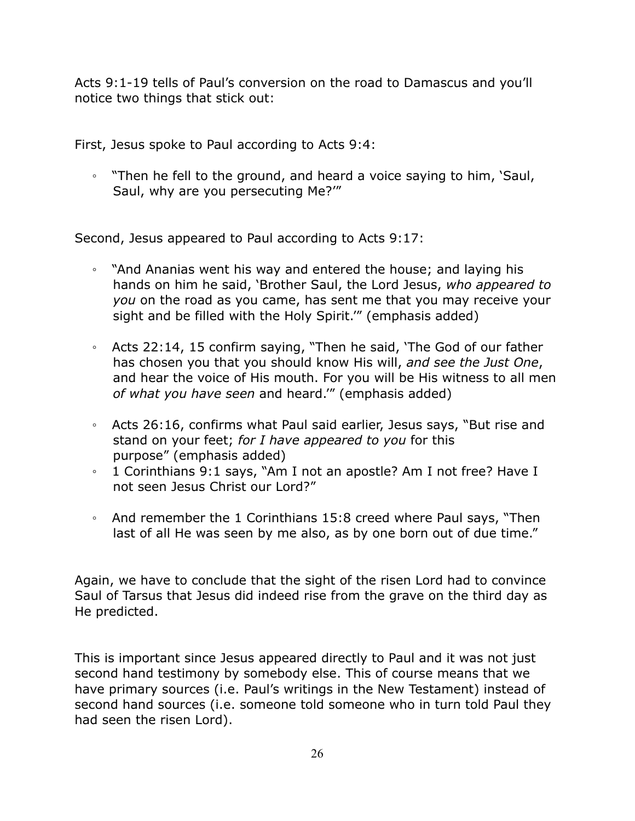Acts 9:1-19 tells of Paul's conversion on the road to Damascus and you'll notice two things that stick out:

First, Jesus spoke to Paul according to Acts 9:4:

◦ "Then he fell to the ground, and heard a voice saying to him, 'Saul, Saul, why are you persecuting Me?'"

Second, Jesus appeared to Paul according to Acts 9:17:

- "And Ananias went his way and entered the house; and laying his hands on him he said, 'Brother Saul, the Lord Jesus, *who appeared to you* on the road as you came, has sent me that you may receive your sight and be filled with the Holy Spirit.'" (emphasis added)
- Acts 22:14, 15 confirm saying, "Then he said, 'The God of our father has chosen you that you should know His will, *and see the Just One*, and hear the voice of His mouth. For you will be His witness to all men *of what you have seen* and heard.'" (emphasis added)
- Acts 26:16, confirms what Paul said earlier, Jesus says, "But rise and stand on your feet; *for I have appeared to you* for this purpose" (emphasis added)
- 1 Corinthians 9:1 says, "Am I not an apostle? Am I not free? Have I not seen Jesus Christ our Lord?"
- And remember the 1 Corinthians 15:8 creed where Paul says, "Then last of all He was seen by me also, as by one born out of due time."

Again, we have to conclude that the sight of the risen Lord had to convince Saul of Tarsus that Jesus did indeed rise from the grave on the third day as He predicted.

This is important since Jesus appeared directly to Paul and it was not just second hand testimony by somebody else. This of course means that we have primary sources (i.e. Paul's writings in the New Testament) instead of second hand sources (i.e. someone told someone who in turn told Paul they had seen the risen Lord).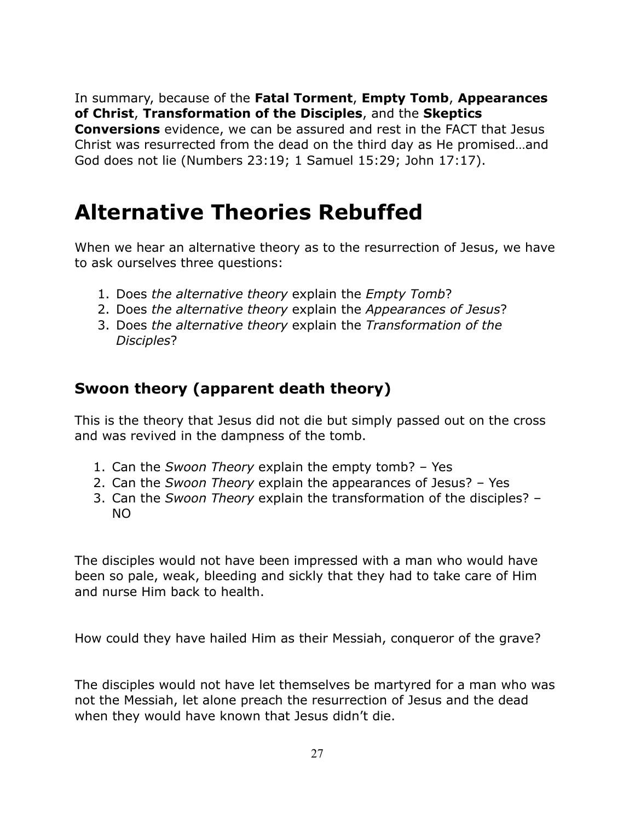In summary, because of the **Fatal Torment**, **Empty Tomb**, **Appearances of Christ**, **Transformation of the Disciples**, and the **Skeptics** 

**Conversions** evidence, we can be assured and rest in the FACT that Jesus Christ was resurrected from the dead on the third day as He promised…and God does not lie (Numbers 23:19; 1 Samuel 15:29; John 17:17).

## **Alternative Theories Rebuffed**

When we hear an alternative theory as to the resurrection of Jesus, we have to ask ourselves three questions:

- 1. Does *the alternative theory* explain the *Empty Tomb*?
- 2. Does *the alternative theory* explain the *Appearances of Jesus*?
- 3. Does *the alternative theory* explain the *Transformation of the Disciples*?

## **Swoon theory (apparent death theory)**

This is the theory that Jesus did not die but simply passed out on the cross and was revived in the dampness of the tomb.

- 1. Can the *Swoon Theory* explain the empty tomb? Yes
- 2. Can the *Swoon Theory* explain the appearances of Jesus? Yes
- 3. Can the *Swoon Theory* explain the transformation of the disciples? NO

The disciples would not have been impressed with a man who would have been so pale, weak, bleeding and sickly that they had to take care of Him and nurse Him back to health.

How could they have hailed Him as their Messiah, conqueror of the grave?

The disciples would not have let themselves be martyred for a man who was not the Messiah, let alone preach the resurrection of Jesus and the dead when they would have known that Jesus didn't die.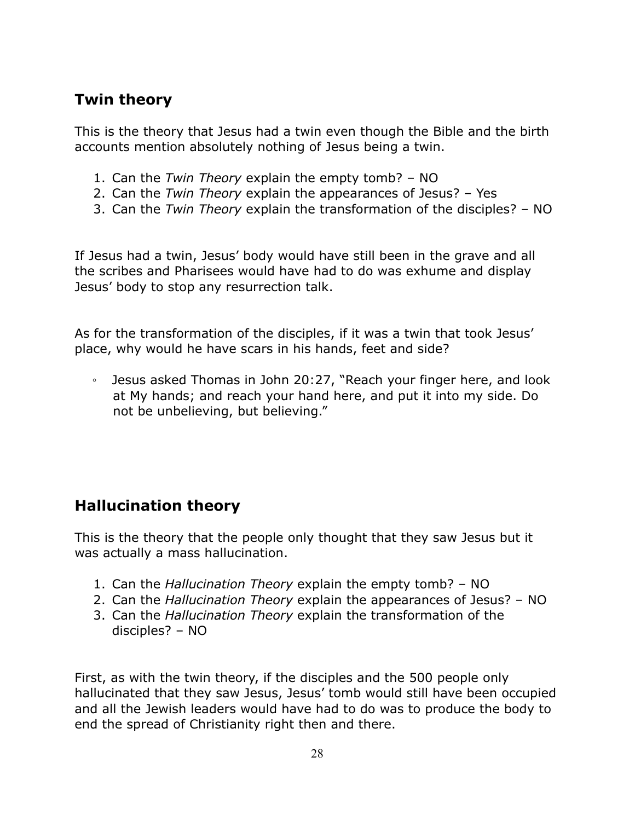## **Twin theory**

This is the theory that Jesus had a twin even though the Bible and the birth accounts mention absolutely nothing of Jesus being a twin.

- 1. Can the *Twin Theory* explain the empty tomb? NO
- 2. Can the *Twin Theory* explain the appearances of Jesus? Yes
- 3. Can the *Twin Theory* explain the transformation of the disciples? NO

If Jesus had a twin, Jesus' body would have still been in the grave and all the scribes and Pharisees would have had to do was exhume and display Jesus' body to stop any resurrection talk.

As for the transformation of the disciples, if it was a twin that took Jesus' place, why would he have scars in his hands, feet and side?

◦ Jesus asked Thomas in John 20:27, "Reach your finger here, and look at My hands; and reach your hand here, and put it into my side. Do not be unbelieving, but believing."

## **Hallucination theory**

This is the theory that the people only thought that they saw Jesus but it was actually a mass hallucination.

- 1. Can the *Hallucination Theory* explain the empty tomb? NO
- 2. Can the *Hallucination Theory* explain the appearances of Jesus? NO
- 3. Can the *Hallucination Theory* explain the transformation of the disciples? – NO

First, as with the twin theory, if the disciples and the 500 people only hallucinated that they saw Jesus, Jesus' tomb would still have been occupied and all the Jewish leaders would have had to do was to produce the body to end the spread of Christianity right then and there.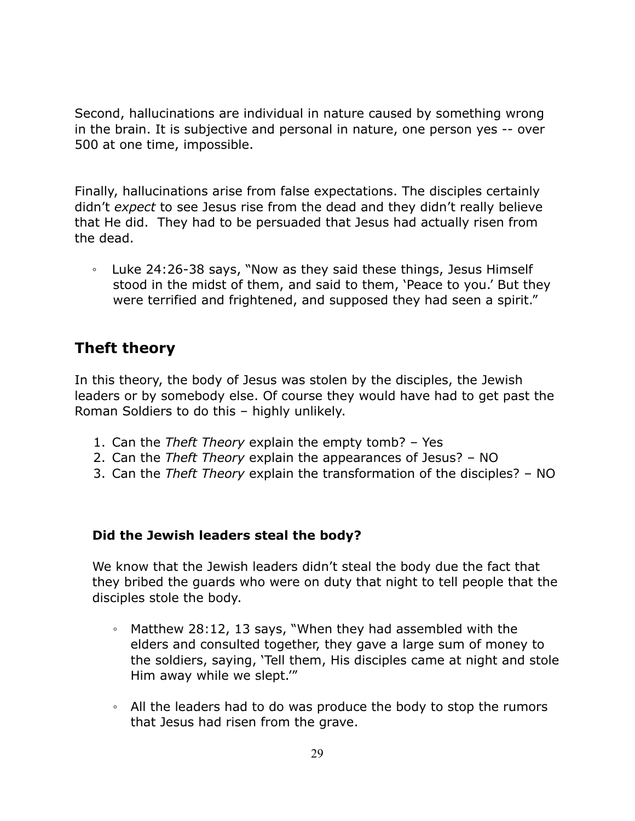Second, hallucinations are individual in nature caused by something wrong in the brain. It is subjective and personal in nature, one person yes -- over 500 at one time, impossible.

Finally, hallucinations arise from false expectations. The disciples certainly didn't *expect* to see Jesus rise from the dead and they didn't really believe that He did. They had to be persuaded that Jesus had actually risen from the dead.

◦ Luke 24:26-38 says, "Now as they said these things, Jesus Himself stood in the midst of them, and said to them, 'Peace to you.' But they were terrified and frightened, and supposed they had seen a spirit."

## **Theft theory**

In this theory, the body of Jesus was stolen by the disciples, the Jewish leaders or by somebody else. Of course they would have had to get past the Roman Soldiers to do this – highly unlikely.

- 1. Can the *Theft Theory* explain the empty tomb? Yes
- 2. Can the *Theft Theory* explain the appearances of Jesus? NO
- 3. Can the *Theft Theory* explain the transformation of the disciples? NO

#### **Did the Jewish leaders steal the body?**

We know that the Jewish leaders didn't steal the body due the fact that they bribed the guards who were on duty that night to tell people that the disciples stole the body.

- Matthew 28:12, 13 says, "When they had assembled with the elders and consulted together, they gave a large sum of money to the soldiers, saying, 'Tell them, His disciples came at night and stole Him away while we slept.'"
- All the leaders had to do was produce the body to stop the rumors that Jesus had risen from the grave.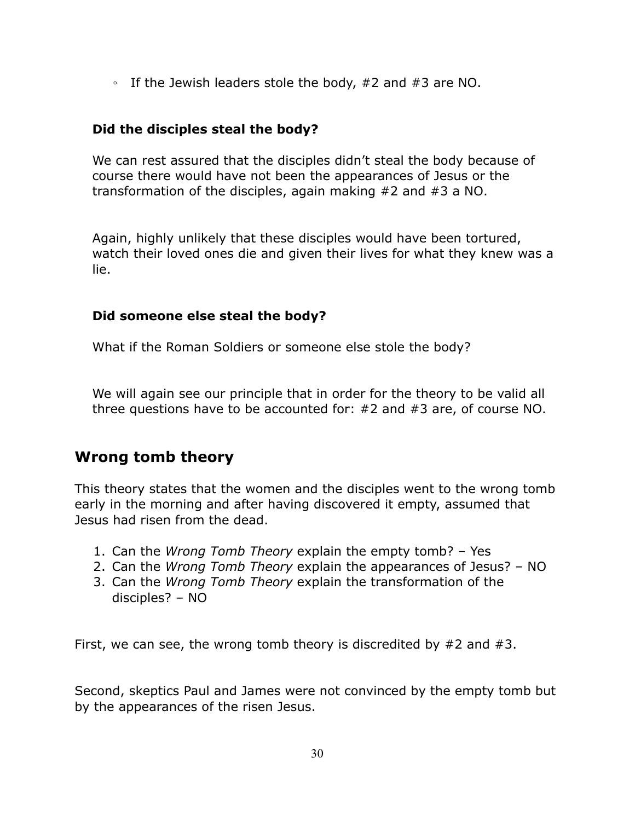◦ If the Jewish leaders stole the body, #2 and #3 are NO.

## **Did the disciples steal the body?**

We can rest assured that the disciples didn't steal the body because of course there would have not been the appearances of Jesus or the transformation of the disciples, again making #2 and #3 a NO.

Again, highly unlikely that these disciples would have been tortured, watch their loved ones die and given their lives for what they knew was a lie.

### **Did someone else steal the body?**

What if the Roman Soldiers or someone else stole the body?

We will again see our principle that in order for the theory to be valid all three questions have to be accounted for: #2 and #3 are, of course NO.

## **Wrong tomb theory**

This theory states that the women and the disciples went to the wrong tomb early in the morning and after having discovered it empty, assumed that Jesus had risen from the dead.

- 1. Can the *Wrong Tomb Theory* explain the empty tomb? Yes
- 2. Can the *Wrong Tomb Theory* explain the appearances of Jesus? NO
- 3. Can the *Wrong Tomb Theory* explain the transformation of the disciples? – NO

First, we can see, the wrong tomb theory is discredited by  $#2$  and  $#3$ .

Second, skeptics Paul and James were not convinced by the empty tomb but by the appearances of the risen Jesus.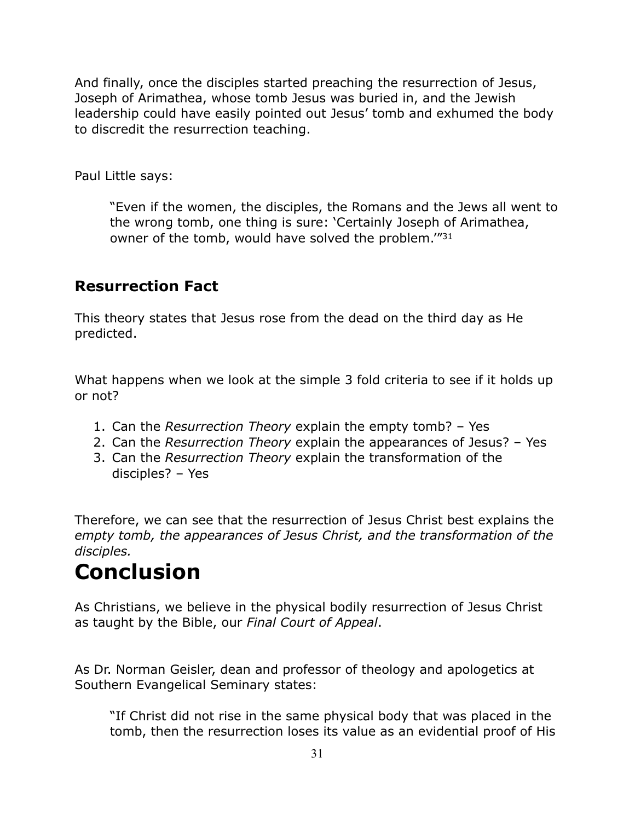And finally, once the disciples started preaching the resurrection of Jesus, Joseph of Arimathea, whose tomb Jesus was buried in, and the Jewish leadership could have easily pointed out Jesus' tomb and exhumed the body to discredit the resurrection teaching.

Paul Little says:

"Even if the women, the disciples, the Romans and the Jews all went to the wrong tomb, one thing is sure: 'Certainly Joseph of Arimathea, owner of the tomb, would have solved the problem.'"31

## **Resurrection Fact**

This theory states that Jesus rose from the dead on the third day as He predicted.

What happens when we look at the simple 3 fold criteria to see if it holds up or not?

- 1. Can the *Resurrection Theory* explain the empty tomb? Yes
- 2. Can the *Resurrection Theory* explain the appearances of Jesus? Yes
- 3. Can the *Resurrection Theory* explain the transformation of the disciples? – Yes

Therefore, we can see that the resurrection of Jesus Christ best explains the *empty tomb, the appearances of Jesus Christ, and the transformation of the disciples.*

# **Conclusion**

As Christians, we believe in the physical bodily resurrection of Jesus Christ as taught by the Bible, our *Final Court of Appeal*.

As Dr. Norman Geisler, dean and professor of theology and apologetics at Southern Evangelical Seminary states:

"If Christ did not rise in the same physical body that was placed in the tomb, then the resurrection loses its value as an evidential proof of His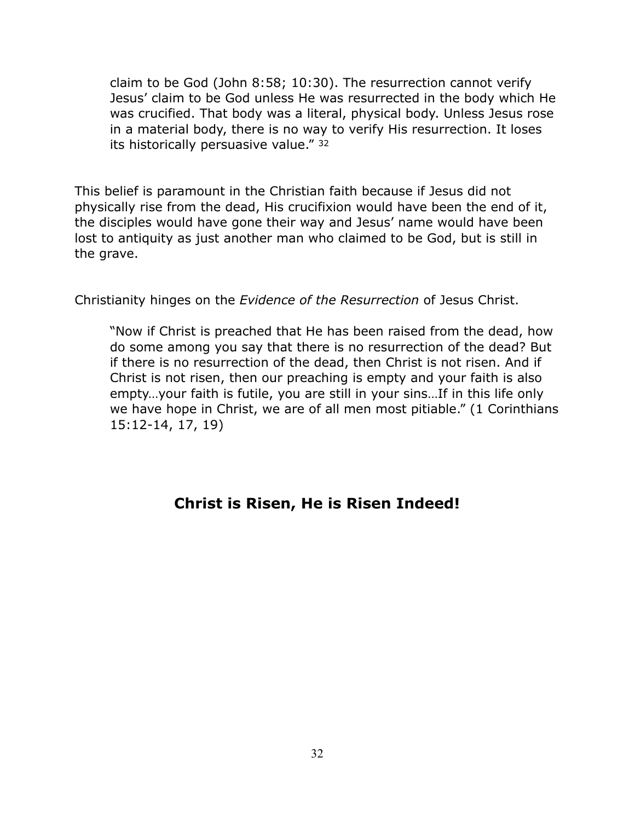claim to be God (John 8:58; 10:30). The resurrection cannot verify Jesus' claim to be God unless He was resurrected in the body which He was crucified. That body was a literal, physical body. Unless Jesus rose in a material body, there is no way to verify His resurrection. It loses its historically persuasive value." 32

This belief is paramount in the Christian faith because if Jesus did not physically rise from the dead, His crucifixion would have been the end of it, the disciples would have gone their way and Jesus' name would have been lost to antiquity as just another man who claimed to be God, but is still in the grave.

Christianity hinges on the *Evidence of the Resurrection* of Jesus Christ.

"Now if Christ is preached that He has been raised from the dead, how do some among you say that there is no resurrection of the dead? But if there is no resurrection of the dead, then Christ is not risen. And if Christ is not risen, then our preaching is empty and your faith is also empty…your faith is futile, you are still in your sins…If in this life only we have hope in Christ, we are of all men most pitiable." (1 Corinthians 15:12-14, 17, 19)

## **Christ is Risen, He is Risen Indeed!**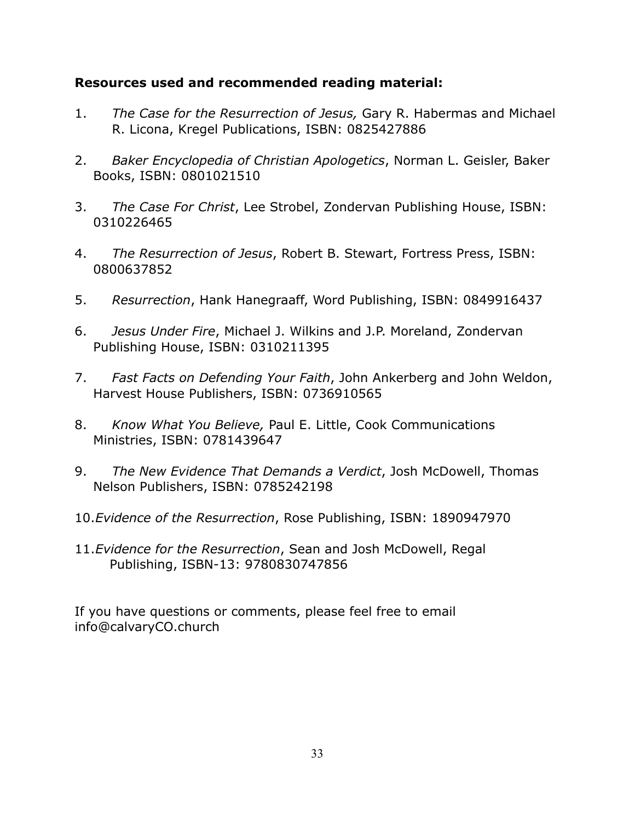#### **Resources used and recommended reading material:**

- 1. *The Case for the Resurrection of Jesus,* Gary R. Habermas and Michael R. Licona, Kregel Publications, ISBN: 0825427886
- 2. *Baker Encyclopedia of Christian Apologetics*, Norman L. Geisler, Baker Books, ISBN: 0801021510
- 3. *The Case For Christ*, Lee Strobel, Zondervan Publishing House, ISBN: 0310226465
- 4. *The Resurrection of Jesus*, Robert B. Stewart, Fortress Press, ISBN: 0800637852
- 5. *Resurrection*, Hank Hanegraaff, Word Publishing, ISBN: 0849916437
- 6. *Jesus Under Fire*, Michael J. Wilkins and J.P. Moreland, Zondervan Publishing House, ISBN: 0310211395
- 7. *Fast Facts on Defending Your Faith*, John Ankerberg and John Weldon, Harvest House Publishers, ISBN: 0736910565
- 8. *Know What You Believe,* Paul E. Little, Cook Communications Ministries, ISBN: 0781439647
- 9. *The New Evidence That Demands a Verdict*, Josh McDowell, Thomas Nelson Publishers, ISBN: 0785242198
- 10.*Evidence of the Resurrection*, Rose Publishing, ISBN: 1890947970
- 11.*Evidence for the Resurrection*, Sean and Josh McDowell, Regal Publishing, ISBN-13: 9780830747856

If you have questions or comments, please feel free to email info@calvaryCO.church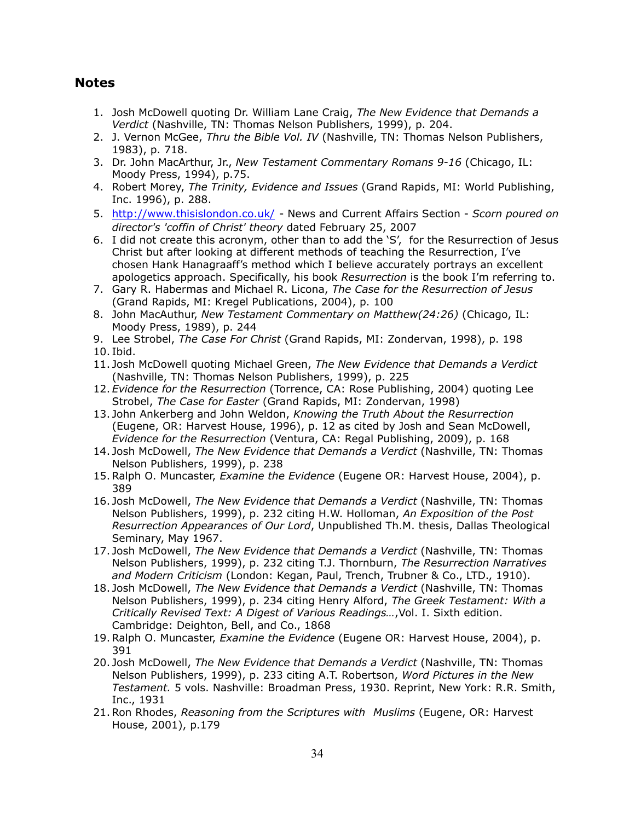#### **Notes**

- 1. Josh McDowell quoting Dr. William Lane Craig, *The New Evidence that Demands a Verdict* (Nashville, TN: Thomas Nelson Publishers, 1999), p. 204.
- 2. J. Vernon McGee, *Thru the Bible Vol. IV* (Nashville, TN: Thomas Nelson Publishers, 1983), p. 718.
- 3. Dr. John MacArthur, Jr., *New Testament Commentary Romans 9-16* (Chicago, IL: Moody Press, 1994), p.75.
- 4. Robert Morey, *The Trinity, Evidence and Issues* (Grand Rapids, MI: World Publishing, Inc. 1996), p. 288.
- 5. <http://www.thisislondon.co.uk/> News and Current Affairs Section *Scorn poured on director's 'coffin of Christ' theory* dated February 25, 2007
- 6. I did not create this acronym, other than to add the 'S', for the Resurrection of Jesus Christ but after looking at different methods of teaching the Resurrection, I've chosen Hank Hanagraaff's method which I believe accurately portrays an excellent apologetics approach. Specifically, his book *Resurrection* is the book I'm referring to.
- 7. Gary R. Habermas and Michael R. Licona, *The Case for the Resurrection of Jesus*  (Grand Rapids, MI: Kregel Publications, 2004), p. 100
- 8. John MacAuthur, *New Testament Commentary on Matthew(24:26)* (Chicago, IL: Moody Press, 1989), p. 244
- 9. Lee Strobel, *The Case For Christ* (Grand Rapids, MI: Zondervan, 1998), p. 198
- 10. Ibid.
- 11. Josh McDowell quoting Michael Green, *The New Evidence that Demands a Verdict*  (Nashville, TN: Thomas Nelson Publishers, 1999), p. 225
- 12. *Evidence for the Resurrection* (Torrence, CA: Rose Publishing, 2004) quoting Lee Strobel, *The Case for Easter* (Grand Rapids, MI: Zondervan, 1998)
- 13. John Ankerberg and John Weldon, *Knowing the Truth About the Resurrection* (Eugene, OR: Harvest House, 1996), p. 12 as cited by Josh and Sean McDowell, *Evidence for the Resurrection* (Ventura, CA: Regal Publishing, 2009), p. 168
- 14. Josh McDowell, *The New Evidence that Demands a Verdict* (Nashville, TN: Thomas Nelson Publishers, 1999), p. 238
- 15.Ralph O. Muncaster, *Examine the Evidence* (Eugene OR: Harvest House, 2004), p. 389
- 16. Josh McDowell, *The New Evidence that Demands a Verdict* (Nashville, TN: Thomas Nelson Publishers, 1999), p. 232 citing H.W. Holloman, *An Exposition of the Post Resurrection Appearances of Our Lord*, Unpublished Th.M. thesis, Dallas Theological Seminary, May 1967.
- 17. Josh McDowell, *The New Evidence that Demands a Verdict* (Nashville, TN: Thomas Nelson Publishers, 1999), p. 232 citing T.J. Thornburn, *The Resurrection Narratives and Modern Criticism* (London: Kegan, Paul, Trench, Trubner & Co., LTD., 1910).
- 18. Josh McDowell, *The New Evidence that Demands a Verdict* (Nashville, TN: Thomas Nelson Publishers, 1999), p. 234 citing Henry Alford, *The Greek Testament: With a Critically Revised Text: A Digest of Various Readings…*,Vol. I. Sixth edition. Cambridge: Deighton, Bell, and Co., 1868
- 19.Ralph O. Muncaster, *Examine the Evidence* (Eugene OR: Harvest House, 2004), p. 391
- 20. Josh McDowell, *The New Evidence that Demands a Verdict* (Nashville, TN: Thomas Nelson Publishers, 1999), p. 233 citing A.T. Robertson, *Word Pictures in the New Testament.* 5 vols. Nashville: Broadman Press, 1930. Reprint, New York: R.R. Smith, Inc., 1931
- 21.Ron Rhodes, *Reasoning from the Scriptures with Muslims* (Eugene, OR: Harvest House, 2001), p.179